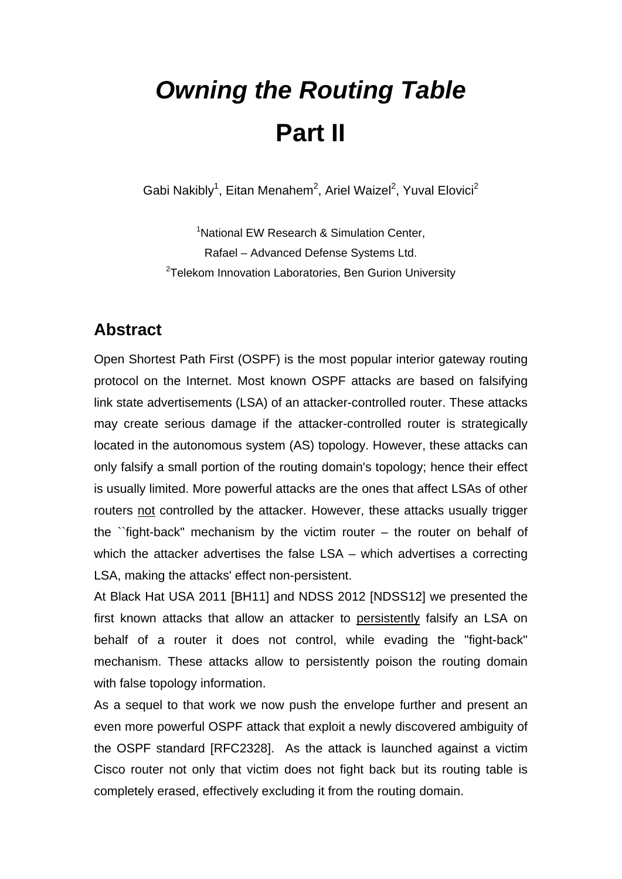# *Owning the Routing Table*  **Part II**

Gabi Nakibly<sup>1</sup>, Eitan Menahem<sup>2</sup>, Ariel Waizel<sup>2</sup>, Yuval Elovici<sup>2</sup>

<sup>1</sup>National EW Research & Simulation Center, Rafael – Advanced Defense Systems Ltd. <sup>2</sup>Telekom Innovation Laboratories, Ben Gurion University

### **Abstract**

Open Shortest Path First (OSPF) is the most popular interior gateway routing protocol on the Internet. Most known OSPF attacks are based on falsifying link state advertisements (LSA) of an attacker-controlled router. These attacks may create serious damage if the attacker-controlled router is strategically located in the autonomous system (AS) topology. However, these attacks can only falsify a small portion of the routing domain's topology; hence their effect is usually limited. More powerful attacks are the ones that affect LSAs of other routers not controlled by the attacker. However, these attacks usually trigger the "fight-back" mechanism by the victim router  $-$  the router on behalf of which the attacker advertises the false LSA – which advertises a correcting LSA, making the attacks' effect non-persistent.

At Black Hat USA 2011 [BH11] and NDSS 2012 [NDSS12] we presented the first known attacks that allow an attacker to persistently falsify an LSA on behalf of a router it does not control, while evading the "fight-back" mechanism. These attacks allow to persistently poison the routing domain with false topology information.

As a sequel to that work we now push the envelope further and present an even more powerful OSPF attack that exploit a newly discovered ambiguity of the OSPF standard [RFC2328]. As the attack is launched against a victim Cisco router not only that victim does not fight back but its routing table is completely erased, effectively excluding it from the routing domain.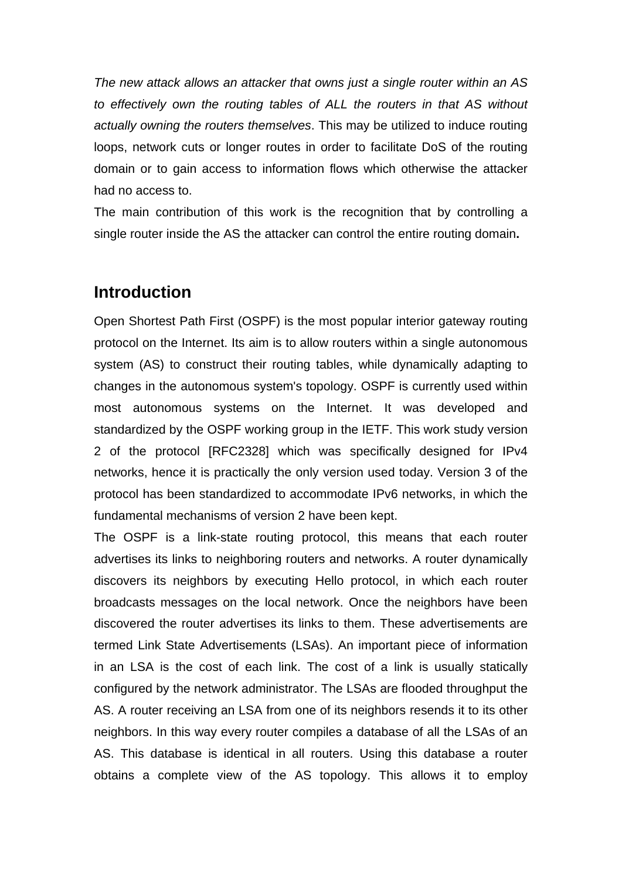*The new attack allows an attacker that owns just a single router within an AS to effectively own the routing tables of ALL the routers in that AS without actually owning the routers themselves*. This may be utilized to induce routing loops, network cuts or longer routes in order to facilitate DoS of the routing domain or to gain access to information flows which otherwise the attacker had no access to.

The main contribution of this work is the recognition that by controlling a single router inside the AS the attacker can control the entire routing domain**.** 

#### **Introduction**

Open Shortest Path First (OSPF) is the most popular interior gateway routing protocol on the Internet. Its aim is to allow routers within a single autonomous system (AS) to construct their routing tables, while dynamically adapting to changes in the autonomous system's topology. OSPF is currently used within most autonomous systems on the Internet. It was developed and standardized by the OSPF working group in the IETF. This work study version 2 of the protocol [RFC2328] which was specifically designed for IPv4 networks, hence it is practically the only version used today. Version 3 of the protocol has been standardized to accommodate IPv6 networks, in which the fundamental mechanisms of version 2 have been kept.

The OSPF is a link-state routing protocol, this means that each router advertises its links to neighboring routers and networks. A router dynamically discovers its neighbors by executing Hello protocol, in which each router broadcasts messages on the local network. Once the neighbors have been discovered the router advertises its links to them. These advertisements are termed Link State Advertisements (LSAs). An important piece of information in an LSA is the cost of each link. The cost of a link is usually statically configured by the network administrator. The LSAs are flooded throughput the AS. A router receiving an LSA from one of its neighbors resends it to its other neighbors. In this way every router compiles a database of all the LSAs of an AS. This database is identical in all routers. Using this database a router obtains a complete view of the AS topology. This allows it to employ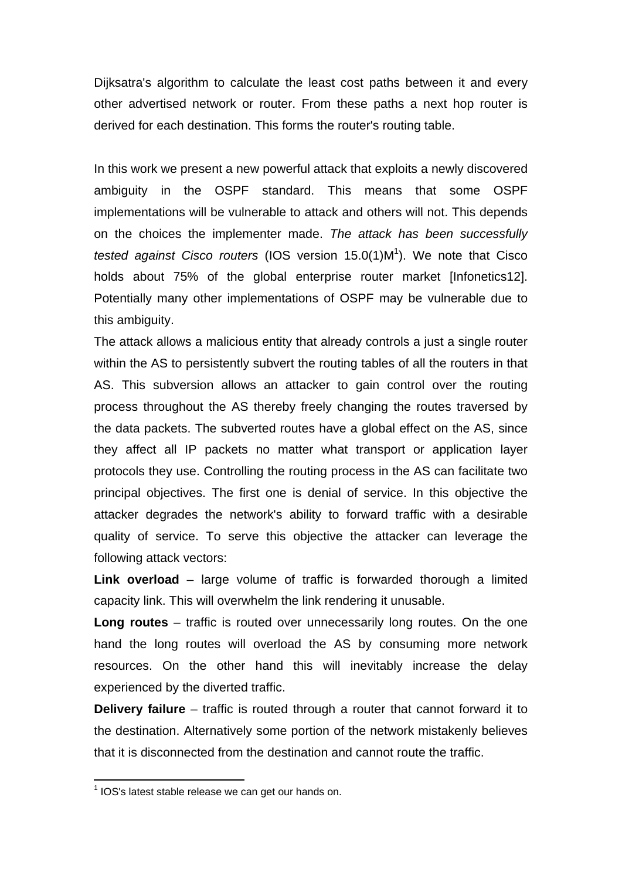Dijksatra's algorithm to calculate the least cost paths between it and every other advertised network or router. From these paths a next hop router is derived for each destination. This forms the router's routing table.

In this work we present a new powerful attack that exploits a newly discovered ambiguity in the OSPF standard. This means that some OSPF implementations will be vulnerable to attack and others will not. This depends on the choices the implementer made. *The attack has been successfully*  tested against Cisco routers (IOS version 15.0(1)M<sup>1</sup>). We note that Cisco holds about 75% of the global enterprise router market [Infonetics12]. Potentially many other implementations of OSPF may be vulnerable due to this ambiguity.

The attack allows a malicious entity that already controls a just a single router within the AS to persistently subvert the routing tables of all the routers in that AS. This subversion allows an attacker to gain control over the routing process throughout the AS thereby freely changing the routes traversed by the data packets. The subverted routes have a global effect on the AS, since they affect all IP packets no matter what transport or application layer protocols they use. Controlling the routing process in the AS can facilitate two principal objectives. The first one is denial of service. In this objective the attacker degrades the network's ability to forward traffic with a desirable quality of service. To serve this objective the attacker can leverage the following attack vectors:

**Link overload** – large volume of traffic is forwarded thorough a limited capacity link. This will overwhelm the link rendering it unusable.

**Long routes** – traffic is routed over unnecessarily long routes. On the one hand the long routes will overload the AS by consuming more network resources. On the other hand this will inevitably increase the delay experienced by the diverted traffic.

**Delivery failure** – traffic is routed through a router that cannot forward it to the destination. Alternatively some portion of the network mistakenly believes that it is disconnected from the destination and cannot route the traffic.

1

 $1$  IOS's latest stable release we can get our hands on.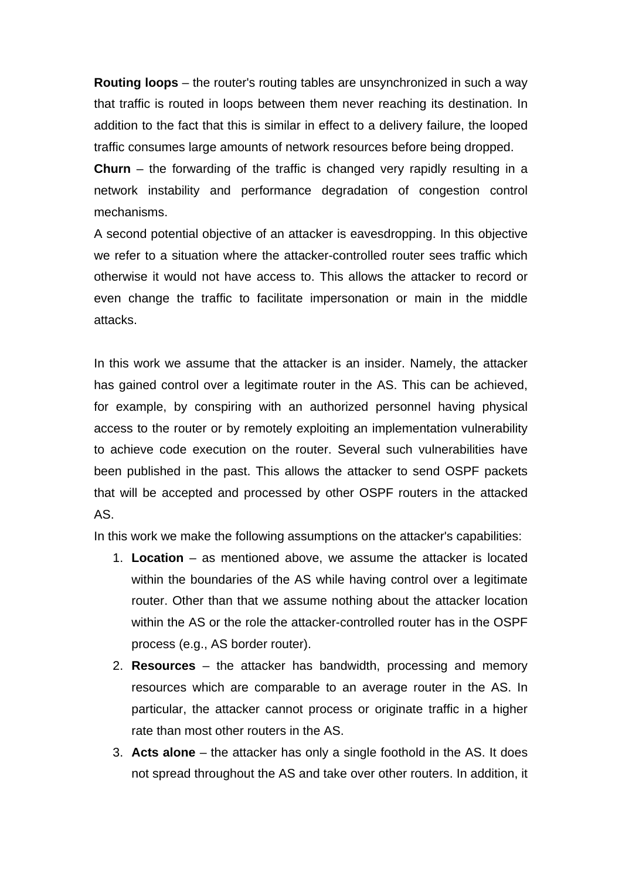**Routing loops** – the router's routing tables are unsynchronized in such a way that traffic is routed in loops between them never reaching its destination. In addition to the fact that this is similar in effect to a delivery failure, the looped traffic consumes large amounts of network resources before being dropped.

**Churn** – the forwarding of the traffic is changed very rapidly resulting in a network instability and performance degradation of congestion control mechanisms.

A second potential objective of an attacker is eavesdropping. In this objective we refer to a situation where the attacker-controlled router sees traffic which otherwise it would not have access to. This allows the attacker to record or even change the traffic to facilitate impersonation or main in the middle attacks.

In this work we assume that the attacker is an insider. Namely, the attacker has gained control over a legitimate router in the AS. This can be achieved, for example, by conspiring with an authorized personnel having physical access to the router or by remotely exploiting an implementation vulnerability to achieve code execution on the router. Several such vulnerabilities have been published in the past. This allows the attacker to send OSPF packets that will be accepted and processed by other OSPF routers in the attacked AS.

In this work we make the following assumptions on the attacker's capabilities:

- 1. **Location** as mentioned above, we assume the attacker is located within the boundaries of the AS while having control over a legitimate router. Other than that we assume nothing about the attacker location within the AS or the role the attacker-controlled router has in the OSPF process (e.g., AS border router).
- 2. **Resources** the attacker has bandwidth, processing and memory resources which are comparable to an average router in the AS. In particular, the attacker cannot process or originate traffic in a higher rate than most other routers in the AS.
- 3. **Acts alone** the attacker has only a single foothold in the AS. It does not spread throughout the AS and take over other routers. In addition, it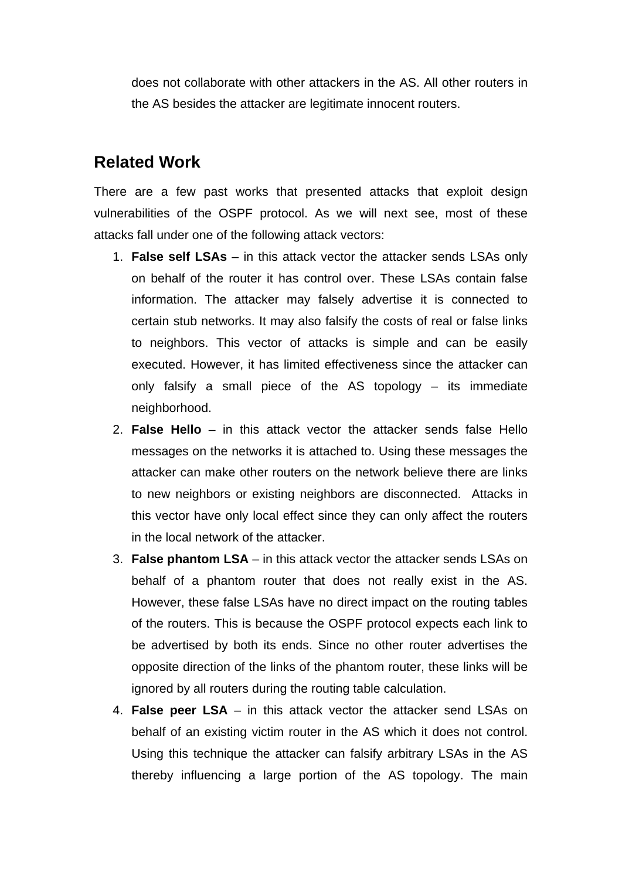does not collaborate with other attackers in the AS. All other routers in the AS besides the attacker are legitimate innocent routers.

## **Related Work**

There are a few past works that presented attacks that exploit design vulnerabilities of the OSPF protocol. As we will next see, most of these attacks fall under one of the following attack vectors:

- 1. **False self LSAs**  in this attack vector the attacker sends LSAs only on behalf of the router it has control over. These LSAs contain false information. The attacker may falsely advertise it is connected to certain stub networks. It may also falsify the costs of real or false links to neighbors. This vector of attacks is simple and can be easily executed. However, it has limited effectiveness since the attacker can only falsify a small piece of the AS topology – its immediate neighborhood.
- 2. **False Hello** in this attack vector the attacker sends false Hello messages on the networks it is attached to. Using these messages the attacker can make other routers on the network believe there are links to new neighbors or existing neighbors are disconnected. Attacks in this vector have only local effect since they can only affect the routers in the local network of the attacker.
- 3. **False phantom LSA** in this attack vector the attacker sends LSAs on behalf of a phantom router that does not really exist in the AS. However, these false LSAs have no direct impact on the routing tables of the routers. This is because the OSPF protocol expects each link to be advertised by both its ends. Since no other router advertises the opposite direction of the links of the phantom router, these links will be ignored by all routers during the routing table calculation.
- 4. **False peer LSA** in this attack vector the attacker send LSAs on behalf of an existing victim router in the AS which it does not control. Using this technique the attacker can falsify arbitrary LSAs in the AS thereby influencing a large portion of the AS topology. The main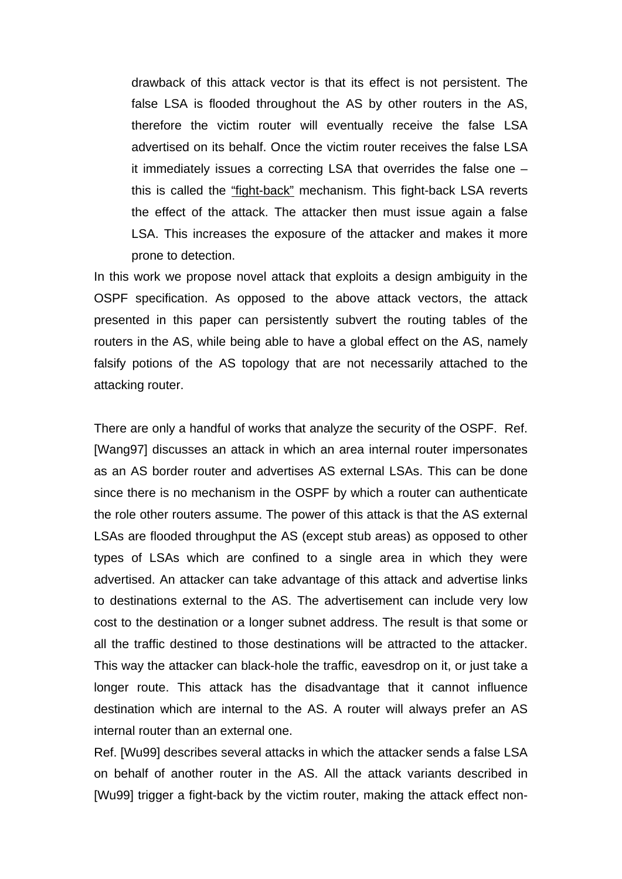drawback of this attack vector is that its effect is not persistent. The false LSA is flooded throughout the AS by other routers in the AS, therefore the victim router will eventually receive the false LSA advertised on its behalf. Once the victim router receives the false LSA it immediately issues a correcting LSA that overrides the false one – this is called the "fight-back" mechanism. This fight-back LSA reverts the effect of the attack. The attacker then must issue again a false LSA. This increases the exposure of the attacker and makes it more prone to detection.

In this work we propose novel attack that exploits a design ambiguity in the OSPF specification. As opposed to the above attack vectors, the attack presented in this paper can persistently subvert the routing tables of the routers in the AS, while being able to have a global effect on the AS, namely falsify potions of the AS topology that are not necessarily attached to the attacking router.

There are only a handful of works that analyze the security of the OSPF. Ref. [Wang97] discusses an attack in which an area internal router impersonates as an AS border router and advertises AS external LSAs. This can be done since there is no mechanism in the OSPF by which a router can authenticate the role other routers assume. The power of this attack is that the AS external LSAs are flooded throughput the AS (except stub areas) as opposed to other types of LSAs which are confined to a single area in which they were advertised. An attacker can take advantage of this attack and advertise links to destinations external to the AS. The advertisement can include very low cost to the destination or a longer subnet address. The result is that some or all the traffic destined to those destinations will be attracted to the attacker. This way the attacker can black-hole the traffic, eavesdrop on it, or just take a longer route. This attack has the disadvantage that it cannot influence destination which are internal to the AS. A router will always prefer an AS internal router than an external one.

Ref. [Wu99] describes several attacks in which the attacker sends a false LSA on behalf of another router in the AS. All the attack variants described in [Wu99] trigger a fight-back by the victim router, making the attack effect non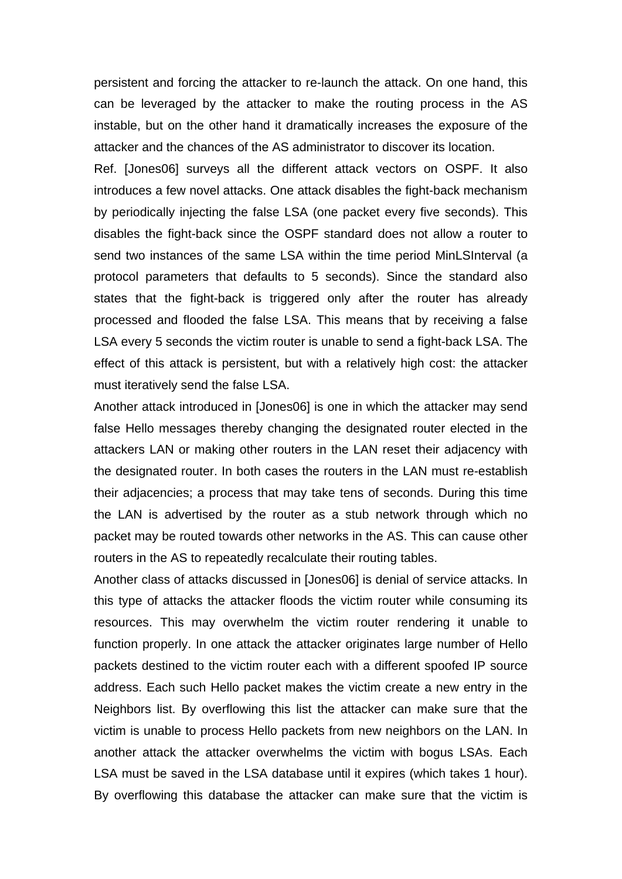persistent and forcing the attacker to re-launch the attack. On one hand, this can be leveraged by the attacker to make the routing process in the AS instable, but on the other hand it dramatically increases the exposure of the attacker and the chances of the AS administrator to discover its location.

Ref. [Jones06] surveys all the different attack vectors on OSPF. It also introduces a few novel attacks. One attack disables the fight-back mechanism by periodically injecting the false LSA (one packet every five seconds). This disables the fight-back since the OSPF standard does not allow a router to send two instances of the same LSA within the time period MinLSInterval (a protocol parameters that defaults to 5 seconds). Since the standard also states that the fight-back is triggered only after the router has already processed and flooded the false LSA. This means that by receiving a false LSA every 5 seconds the victim router is unable to send a fight-back LSA. The effect of this attack is persistent, but with a relatively high cost: the attacker must iteratively send the false LSA.

Another attack introduced in [Jones06] is one in which the attacker may send false Hello messages thereby changing the designated router elected in the attackers LAN or making other routers in the LAN reset their adjacency with the designated router. In both cases the routers in the LAN must re-establish their adjacencies; a process that may take tens of seconds. During this time the LAN is advertised by the router as a stub network through which no packet may be routed towards other networks in the AS. This can cause other routers in the AS to repeatedly recalculate their routing tables.

Another class of attacks discussed in [Jones06] is denial of service attacks. In this type of attacks the attacker floods the victim router while consuming its resources. This may overwhelm the victim router rendering it unable to function properly. In one attack the attacker originates large number of Hello packets destined to the victim router each with a different spoofed IP source address. Each such Hello packet makes the victim create a new entry in the Neighbors list. By overflowing this list the attacker can make sure that the victim is unable to process Hello packets from new neighbors on the LAN. In another attack the attacker overwhelms the victim with bogus LSAs. Each LSA must be saved in the LSA database until it expires (which takes 1 hour). By overflowing this database the attacker can make sure that the victim is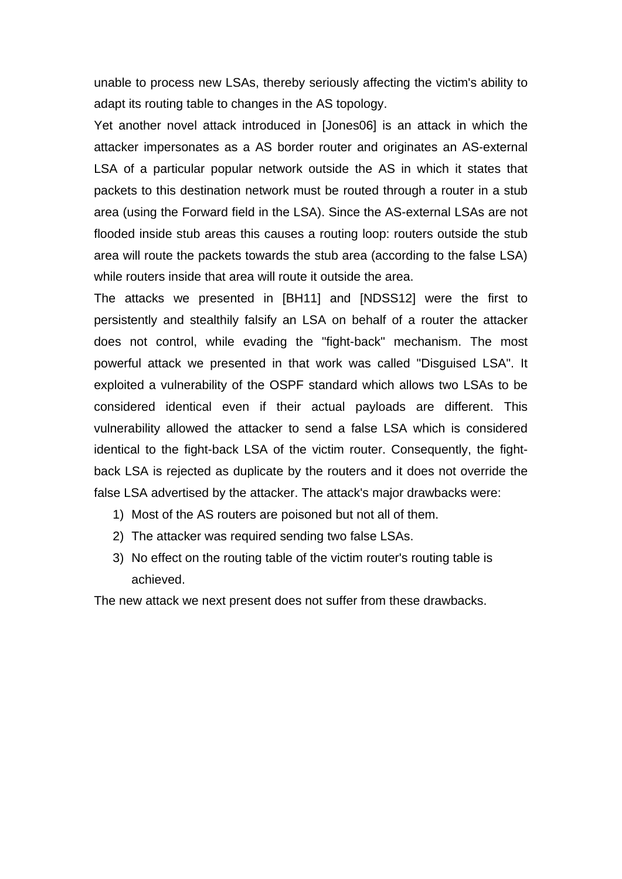unable to process new LSAs, thereby seriously affecting the victim's ability to adapt its routing table to changes in the AS topology.

Yet another novel attack introduced in [Jones06] is an attack in which the attacker impersonates as a AS border router and originates an AS-external LSA of a particular popular network outside the AS in which it states that packets to this destination network must be routed through a router in a stub area (using the Forward field in the LSA). Since the AS-external LSAs are not flooded inside stub areas this causes a routing loop: routers outside the stub area will route the packets towards the stub area (according to the false LSA) while routers inside that area will route it outside the area.

The attacks we presented in [BH11] and [NDSS12] were the first to persistently and stealthily falsify an LSA on behalf of a router the attacker does not control, while evading the "fight-back" mechanism. The most powerful attack we presented in that work was called "Disguised LSA". It exploited a vulnerability of the OSPF standard which allows two LSAs to be considered identical even if their actual payloads are different. This vulnerability allowed the attacker to send a false LSA which is considered identical to the fight-back LSA of the victim router. Consequently, the fightback LSA is rejected as duplicate by the routers and it does not override the false LSA advertised by the attacker. The attack's major drawbacks were:

- 1) Most of the AS routers are poisoned but not all of them.
- 2) The attacker was required sending two false LSAs.
- 3) No effect on the routing table of the victim router's routing table is achieved.

The new attack we next present does not suffer from these drawbacks.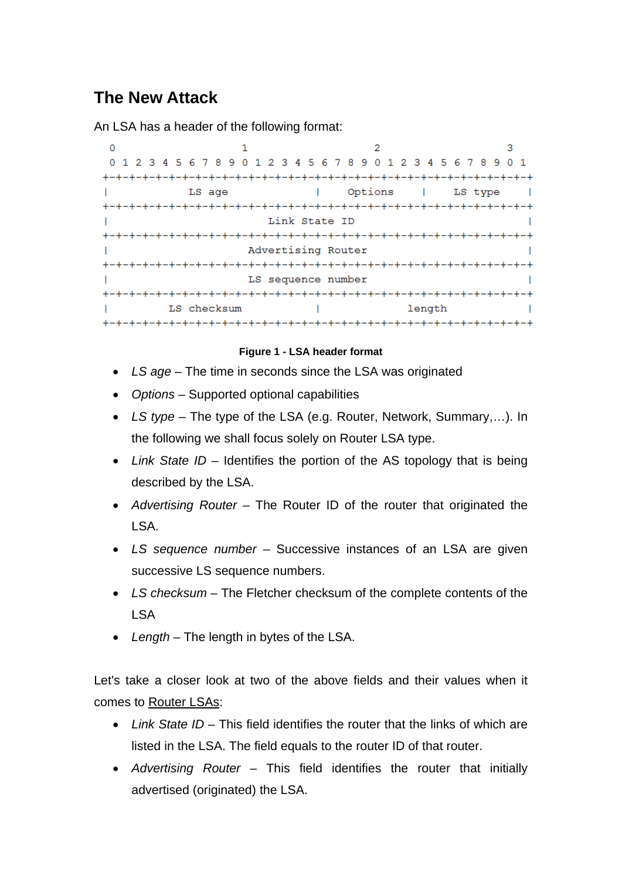# **The New Attack**

An LSA has a header of the following format:

| 1 2 3 4 5 6 7 8 9 0 1 2 3 4 5 6 7 8 9 0 1 2 3 4 5 6 7 8 9 0 1<br>$\Omega$ |                    |                   |                 |
|---------------------------------------------------------------------------|--------------------|-------------------|-----------------|
|                                                                           | -+-+-+-+-+-+-+-+-+ |                   |                 |
| LS age                                                                    |                    | Options   LS type |                 |
|                                                                           |                    |                   |                 |
| Link State ID                                                             |                    |                   |                 |
|                                                                           |                    |                   | -+-+-+-+-+-+-+- |
| Advertising Router                                                        |                    |                   |                 |
|                                                                           |                    |                   |                 |
| LS sequence number                                                        |                    |                   |                 |
|                                                                           |                    | -+-+-+-+-+-+-+-+  |                 |
| LS checksum                                                               |                    | length            |                 |
|                                                                           |                    |                   |                 |

#### **Figure 1 - LSA header format**

- *LS age* The time in seconds since the LSA was originated
- *Options* Supported optional capabilities
- *LS type* The type of the LSA (e.g. Router, Network, Summary,…). In the following we shall focus solely on Router LSA type.
- *Link State ID* Identifies the portion of the AS topology that is being described by the LSA.
- *Advertising Router* The Router ID of the router that originated the LSA.
- *LS sequence number* Successive instances of an LSA are given successive LS sequence numbers.
- *LS checksum* The Fletcher checksum of the complete contents of the LSA
- *Length* The length in bytes of the LSA.

Let's take a closer look at two of the above fields and their values when it comes to Router LSAs:

- *Link State ID* This field identifies the router that the links of which are listed in the LSA. The field equals to the router ID of that router.
- *Advertising Router* This field identifies the router that initially advertised (originated) the LSA.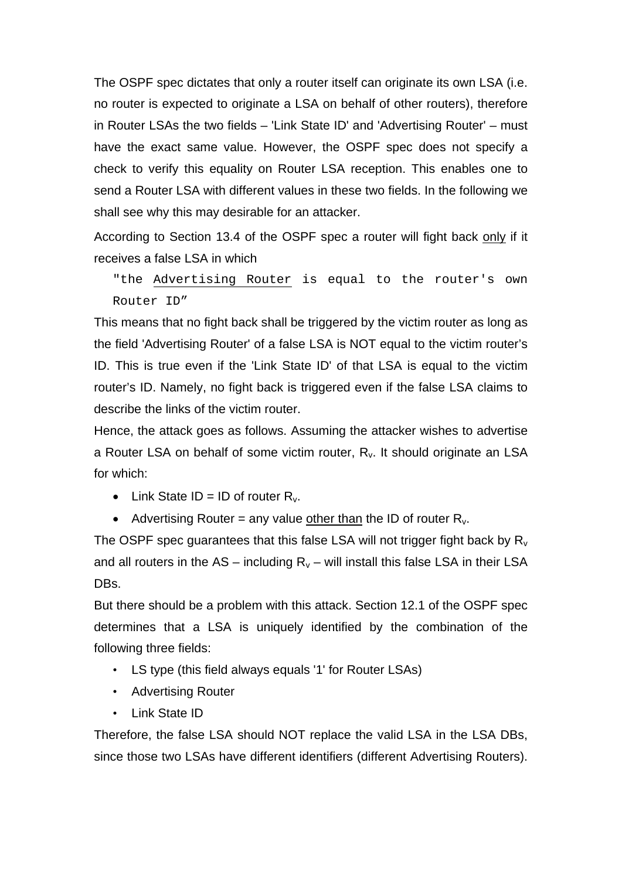The OSPF spec dictates that only a router itself can originate its own LSA (i.e. no router is expected to originate a LSA on behalf of other routers), therefore in Router LSAs the two fields – 'Link State ID' and 'Advertising Router' – must have the exact same value. However, the OSPF spec does not specify a check to verify this equality on Router LSA reception. This enables one to send a Router LSA with different values in these two fields. In the following we shall see why this may desirable for an attacker.

According to Section 13.4 of the OSPF spec a router will fight back only if it receives a false LSA in which

"the Advertising Router is equal to the router's own Router ID"

This means that no fight back shall be triggered by the victim router as long as the field 'Advertising Router' of a false LSA is NOT equal to the victim router's ID. This is true even if the 'Link State ID' of that LSA is equal to the victim router's ID. Namely, no fight back is triggered even if the false LSA claims to describe the links of the victim router.

Hence, the attack goes as follows. Assuming the attacker wishes to advertise a Router LSA on behalf of some victim router,  $R_v$ . It should originate an LSA for which:

- Link State ID = ID of router  $R_v$ .
- Advertising Router = any value other than the ID of router  $R_v$ .

The OSPF spec guarantees that this false LSA will not trigger fight back by  $R_v$ and all routers in the AS – including  $R_v$  – will install this false LSA in their LSA DBs.

But there should be a problem with this attack. Section 12.1 of the OSPF spec determines that a LSA is uniquely identified by the combination of the following three fields:

- LS type (this field always equals '1' for Router LSAs)
- Advertising Router
- Link State ID

Therefore, the false LSA should NOT replace the valid LSA in the LSA DBs, since those two LSAs have different identifiers (different Advertising Routers).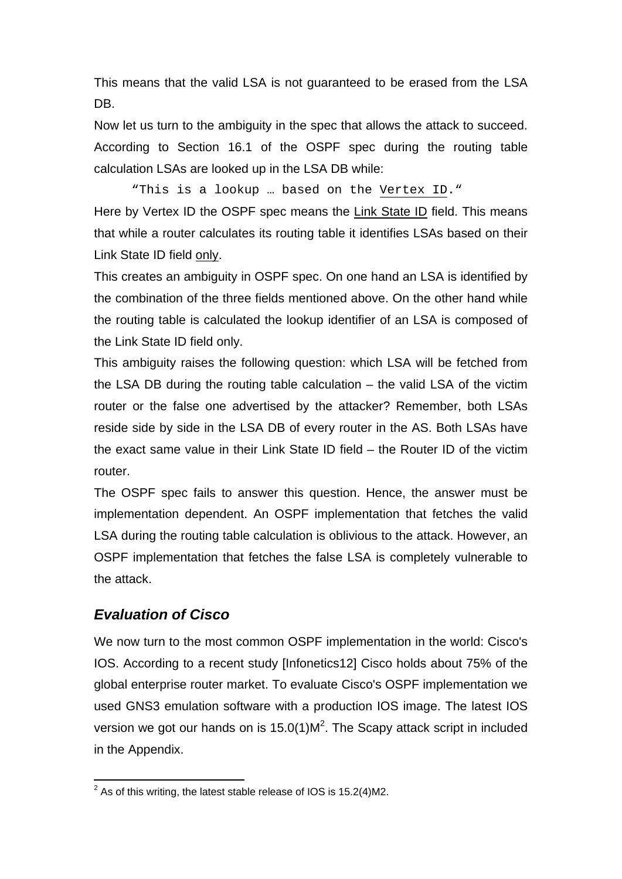This means that the valid LSA is not guaranteed to be erased from the LSA DB.

Now let us turn to the ambiguity in the spec that allows the attack to succeed. According to Section 16.1 of the OSPF spec during the routing table calculation LSAs are looked up in the LSA DB while:

"This is a lookup … based on the Vertex ID."

Here by Vertex ID the OSPF spec means the Link State ID field. This means that while a router calculates its routing table it identifies LSAs based on their Link State ID field only.

This creates an ambiguity in OSPF spec. On one hand an LSA is identified by the combination of the three fields mentioned above. On the other hand while the routing table is calculated the lookup identifier of an LSA is composed of the Link State ID field only.

This ambiguity raises the following question: which LSA will be fetched from the LSA DB during the routing table calculation – the valid LSA of the victim router or the false one advertised by the attacker? Remember, both LSAs reside side by side in the LSA DB of every router in the AS. Both LSAs have the exact same value in their Link State ID field – the Router ID of the victim router.

The OSPF spec fails to answer this question. Hence, the answer must be implementation dependent. An OSPF implementation that fetches the valid LSA during the routing table calculation is oblivious to the attack. However, an OSPF implementation that fetches the false LSA is completely vulnerable to the attack.

#### *Evaluation of Cisco*

We now turn to the most common OSPF implementation in the world: Cisco's IOS. According to a recent study [Infonetics12] Cisco holds about 75% of the global enterprise router market. To evaluate Cisco's OSPF implementation we used GNS3 emulation software with a production IOS image. The latest IOS version we got our hands on is  $15.0(1)M<sup>2</sup>$ . The Scapy attack script in included in the Appendix.

 2 As of this writing, the latest stable release of IOS is 15.2(4)M2.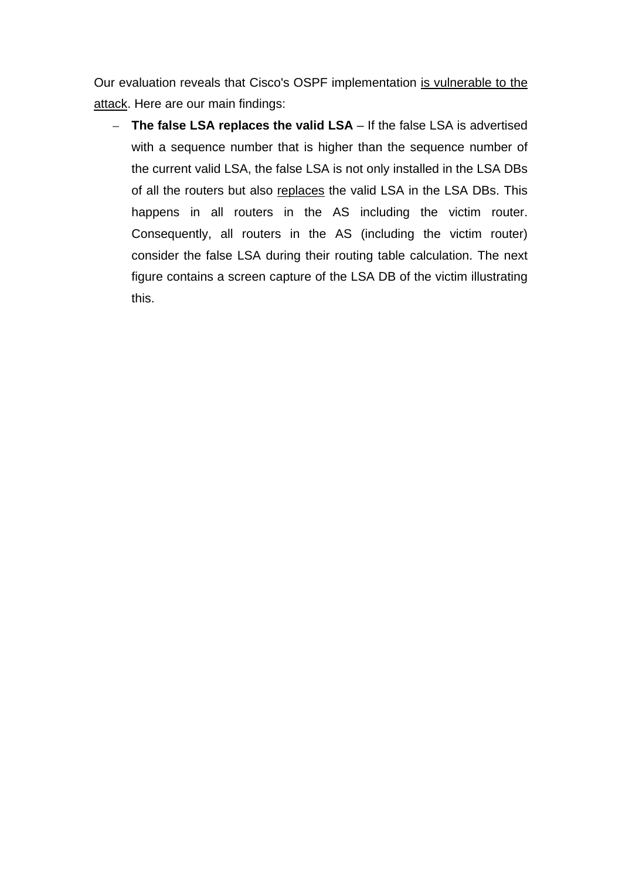Our evaluation reveals that Cisco's OSPF implementation is vulnerable to the attack. Here are our main findings:

– **The false LSA replaces the valid LSA** – If the false LSA is advertised with a sequence number that is higher than the sequence number of the current valid LSA, the false LSA is not only installed in the LSA DBs of all the routers but also replaces the valid LSA in the LSA DBs. This happens in all routers in the AS including the victim router. Consequently, all routers in the AS (including the victim router) consider the false LSA during their routing table calculation. The next figure contains a screen capture of the LSA DB of the victim illustrating this.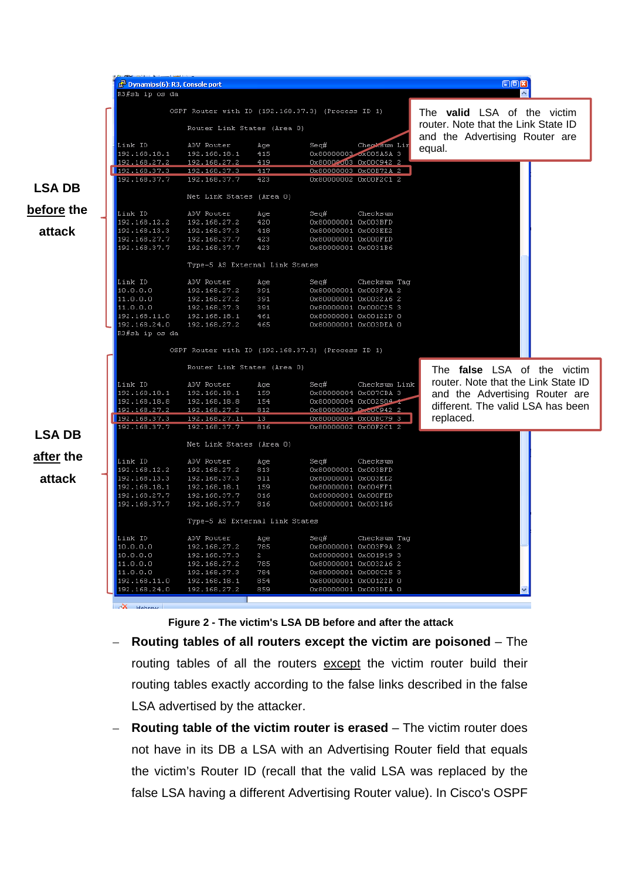

**Figure 2 - The victim's LSA DB before and after the attack** 

- **Routing tables of all routers except the victim are poisoned** The routing tables of all the routers except the victim router build their routing tables exactly according to the false links described in the false LSA advertised by the attacker.
- **Routing table of the victim router is erased** The victim router does not have in its DB a LSA with an Advertising Router field that equals the victim's Router ID (recall that the valid LSA was replaced by the false LSA having a different Advertising Router value). In Cisco's OSPF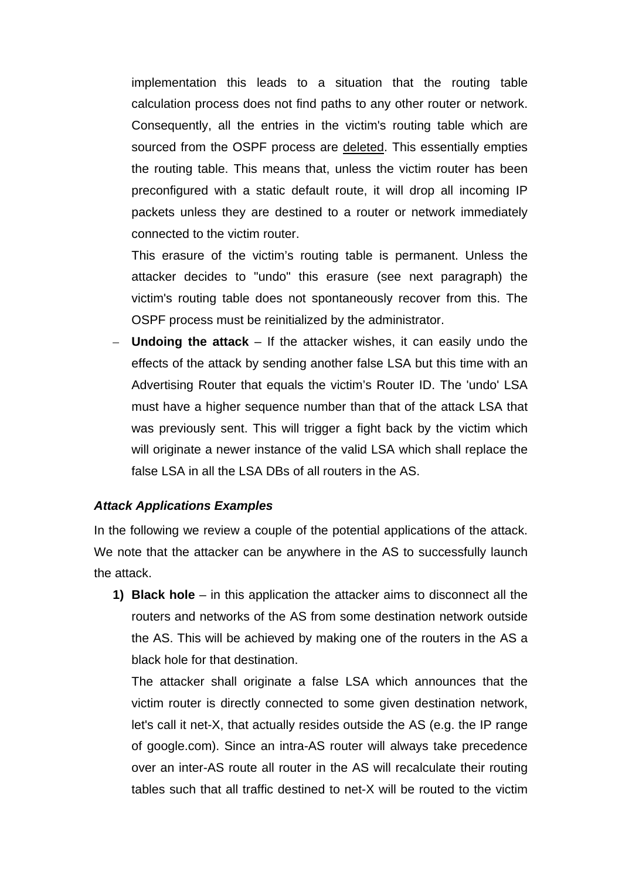implementation this leads to a situation that the routing table calculation process does not find paths to any other router or network. Consequently, all the entries in the victim's routing table which are sourced from the OSPF process are deleted. This essentially empties the routing table. This means that, unless the victim router has been preconfigured with a static default route, it will drop all incoming IP packets unless they are destined to a router or network immediately connected to the victim router.

This erasure of the victim's routing table is permanent. Unless the attacker decides to "undo" this erasure (see next paragraph) the victim's routing table does not spontaneously recover from this. The OSPF process must be reinitialized by the administrator.

– **Undoing the attack** – If the attacker wishes, it can easily undo the effects of the attack by sending another false LSA but this time with an Advertising Router that equals the victim's Router ID. The 'undo' LSA must have a higher sequence number than that of the attack LSA that was previously sent. This will trigger a fight back by the victim which will originate a newer instance of the valid LSA which shall replace the false LSA in all the LSA DBs of all routers in the AS.

#### *Attack Applications Examples*

In the following we review a couple of the potential applications of the attack. We note that the attacker can be anywhere in the AS to successfully launch the attack.

**1) Black hole** – in this application the attacker aims to disconnect all the routers and networks of the AS from some destination network outside the AS. This will be achieved by making one of the routers in the AS a black hole for that destination.

The attacker shall originate a false LSA which announces that the victim router is directly connected to some given destination network, let's call it net-X, that actually resides outside the AS (e.g. the IP range of google.com). Since an intra-AS router will always take precedence over an inter-AS route all router in the AS will recalculate their routing tables such that all traffic destined to net-X will be routed to the victim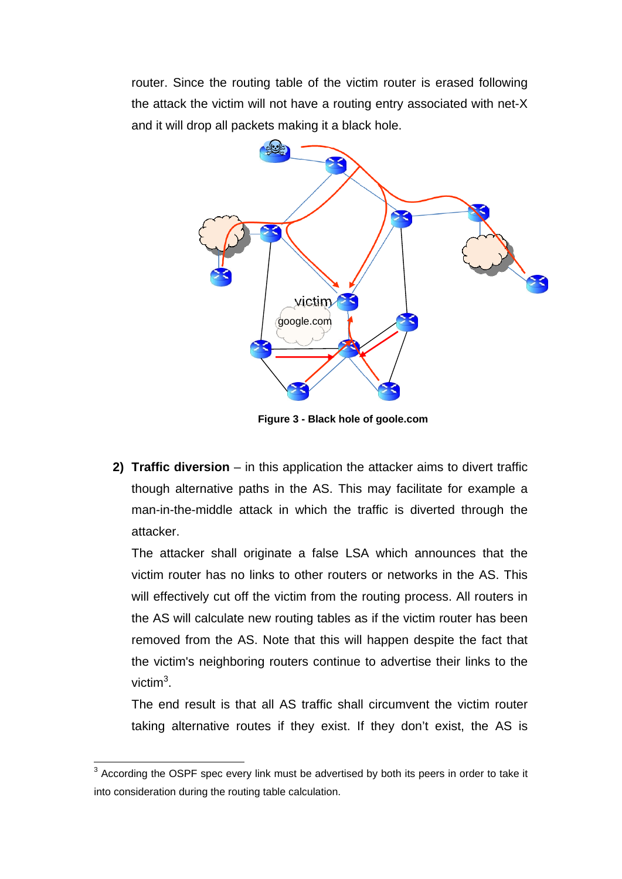router. Since the routing table of the victim router is erased following the attack the victim will not have a routing entry associated with net-X and it will drop all packets making it a black hole.



**Figure 3 - Black hole of goole.com**

**2) Traffic diversion** – in this application the attacker aims to divert traffic though alternative paths in the AS. This may facilitate for example a man-in-the-middle attack in which the traffic is diverted through the attacker.

The attacker shall originate a false LSA which announces that the victim router has no links to other routers or networks in the AS. This will effectively cut off the victim from the routing process. All routers in the AS will calculate new routing tables as if the victim router has been removed from the AS. Note that this will happen despite the fact that the victim's neighboring routers continue to advertise their links to the victim<sup>3</sup>.

The end result is that all AS traffic shall circumvent the victim router taking alternative routes if they exist. If they don't exist, the AS is

1

 $3$  According the OSPF spec every link must be advertised by both its peers in order to take it into consideration during the routing table calculation.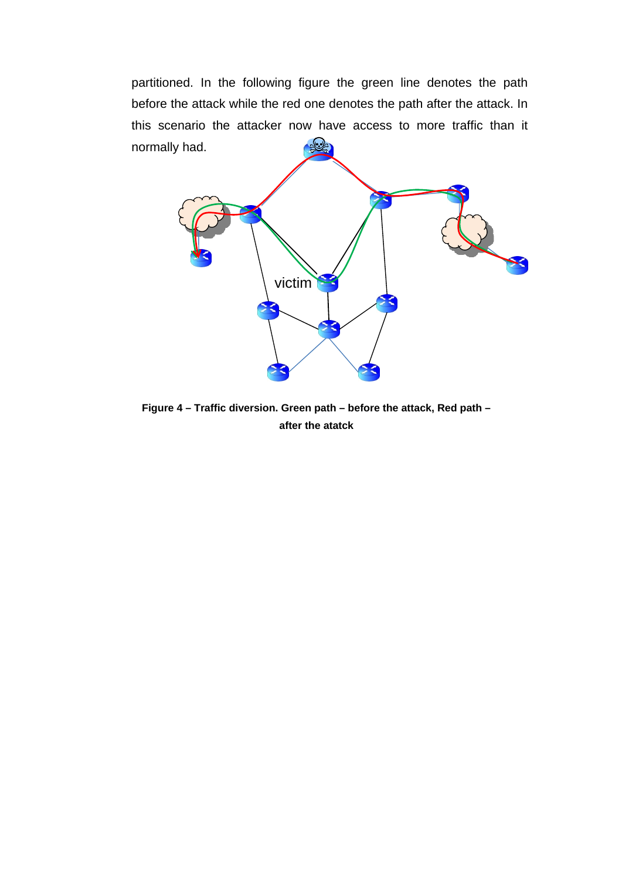partitioned. In the following figure the green line denotes the path before the attack while the red one denotes the path after the attack. In this scenario the attacker now have access to more traffic than it  $rac{1}{2}$ normally had.



**Figure 4 – Traffic diversion. Green path – before the attack, Red path – after the atatck**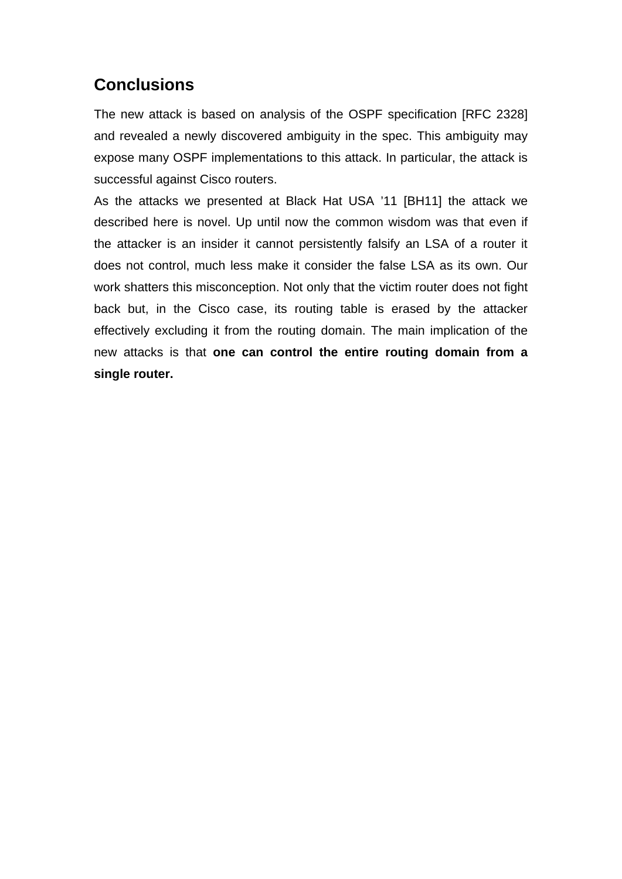## **Conclusions**

The new attack is based on analysis of the OSPF specification [RFC 2328] and revealed a newly discovered ambiguity in the spec. This ambiguity may expose many OSPF implementations to this attack. In particular, the attack is successful against Cisco routers.

As the attacks we presented at Black Hat USA '11 [BH11] the attack we described here is novel. Up until now the common wisdom was that even if the attacker is an insider it cannot persistently falsify an LSA of a router it does not control, much less make it consider the false LSA as its own. Our work shatters this misconception. Not only that the victim router does not fight back but, in the Cisco case, its routing table is erased by the attacker effectively excluding it from the routing domain. The main implication of the new attacks is that **one can control the entire routing domain from a single router.**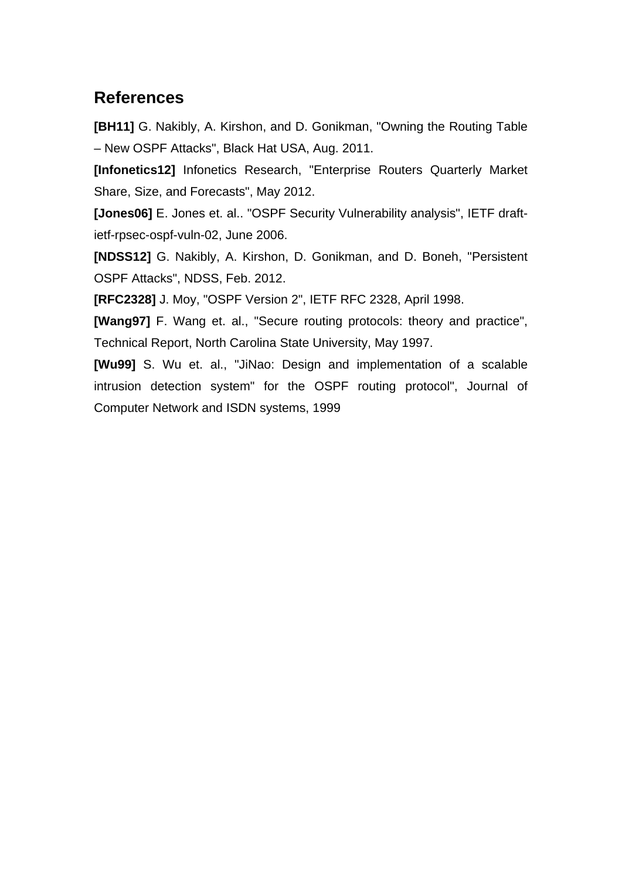## **References**

**[BH11]** G. Nakibly, A. Kirshon, and D. Gonikman, "Owning the Routing Table – New OSPF Attacks", Black Hat USA, Aug. 2011.

**[Infonetics12]** Infonetics Research, "Enterprise Routers Quarterly Market Share, Size, and Forecasts", May 2012.

**[Jones06]** E. Jones et. al.. "OSPF Security Vulnerability analysis", IETF draftietf-rpsec-ospf-vuln-02, June 2006.

**[NDSS12]** G. Nakibly, A. Kirshon, D. Gonikman, and D. Boneh, "Persistent OSPF Attacks", NDSS, Feb. 2012.

**[RFC2328]** J. Moy, "OSPF Version 2", IETF RFC 2328, April 1998.

**[Wang97]** F. Wang et. al., "Secure routing protocols: theory and practice", Technical Report, North Carolina State University, May 1997.

**[Wu99]** S. Wu et. al., "JiNao: Design and implementation of a scalable intrusion detection system" for the OSPF routing protocol", Journal of Computer Network and ISDN systems, 1999